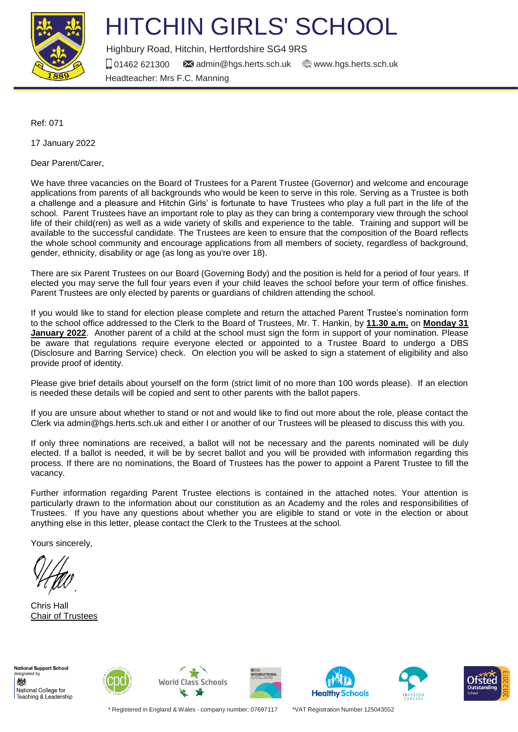

# HITCHIN GIRLS' SCHOOL

Highbury Road, Hitchin, Hertfordshire SG4 9RS

 $\Box$  01462 621300  $\blacksquare$  [admin@hgs.herts.sch.uk](mailto:admin@hgs.herts.sch.uk)  $\oplus$  [www.hgs.herts.sch.uk](http://www.hgs.herts.sch.uk/) Headteacher: Mrs F.C. Manning

Ref: 071

17 January 2022

Dear Parent/Carer,

We have three vacancies on the Board of Trustees for a Parent Trustee (Governor) and welcome and encourage applications from parents of all backgrounds who would be keen to serve in this role. Serving as a Trustee is both a challenge and a pleasure and Hitchin Girls' is fortunate to have Trustees who play a full part in the life of the school. Parent Trustees have an important role to play as they can bring a contemporary view through the school life of their child(ren) as well as a wide variety of skills and experience to the table. Training and support will be available to the successful candidate. The Trustees are keen to ensure that the composition of the Board reflects the whole school community and encourage applications from all members of society, regardless of background, gender, ethnicity, disability or age (as long as you're over 18).

There are six Parent Trustees on our Board (Governing Body) and the position is held for a period of four years. If elected you may serve the full four years even if your child leaves the school before your term of office finishes. Parent Trustees are only elected by parents or guardians of children attending the school.

If you would like to stand for election please complete and return the attached Parent Trustee's nomination form to the school office addressed to the Clerk to the Board of Trustees, Mr. T. Hankin, by **11.30 a.m.** on **Monday 31 January 2022**. Another parent of a child at the school must sign the form in support of your nomination. Please be aware that regulations require everyone elected or appointed to a Trustee Board to undergo a DBS (Disclosure and Barring Service) check. On election you will be asked to sign a statement of eligibility and also provide proof of identity.

Please give brief details about yourself on the form (strict limit of no more than 100 words please). If an election is needed these details will be copied and sent to other parents with the ballot papers.

If you are unsure about whether to stand or not and would like to find out more about the role, please contact the Clerk via admin@hgs.herts.sch.uk and either I or another of our Trustees will be pleased to discuss this with you.

If only three nominations are received, a ballot will not be necessary and the parents nominated will be duly elected. If a ballot is needed, it will be by secret ballot and you will be provided with information regarding this process. If there are no nominations, the Board of Trustees has the power to appoint a Parent Trustee to fill the vacancy.

Further information regarding Parent Trustee elections is contained in the attached notes. Your attention is particularly drawn to the information about our constitution as an Academy and the roles and responsibilities of Trustees. If you have any questions about whether you are eligible to stand or vote in the election or about anything else in this letter, please contact the Clerk to the Trustees at the school.

Yours sincerely,

Chris Hall Chair of Trustees

**National Support School** esignated by 戀 National College for Teaching & Leadership











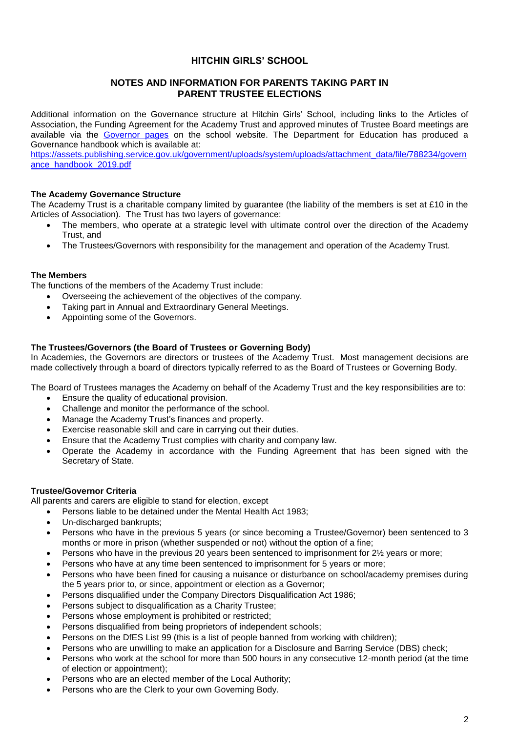## **HITCHIN GIRLS' SCHOOL**

## **NOTES AND INFORMATION FOR PARENTS TAKING PART IN PARENT TRUSTEE ELECTIONS**

Additional information on the Governance structure at Hitchin Girls' School, including links to the Articles of Association, the Funding Agreement for the Academy Trust and approved minutes of Trustee Board meetings are available via the [Governor pages](https://www.hgs.herts.sch.uk/page/?title=Governors&pid=15) on the school website. The Department for Education has produced a Governance handbook which is available at:

[https://assets.publishing.service.gov.uk/government/uploads/system/uploads/attachment\\_data/file/788234/govern](https://assets.publishing.service.gov.uk/government/uploads/system/uploads/attachment_data/file/788234/governance_handbook_2019.pdf) [ance\\_handbook\\_2019.pdf](https://assets.publishing.service.gov.uk/government/uploads/system/uploads/attachment_data/file/788234/governance_handbook_2019.pdf)

### **The Academy Governance Structure**

The Academy Trust is a charitable company limited by guarantee (the liability of the members is set at £10 in the Articles of Association). The Trust has two layers of governance:

- The members, who operate at a strategic level with ultimate control over the direction of the Academy Trust, and
- The Trustees/Governors with responsibility for the management and operation of the Academy Trust.

#### **The Members**

The functions of the members of the Academy Trust include:

- Overseeing the achievement of the objectives of the company.
- Taking part in Annual and Extraordinary General Meetings.
- Appointing some of the Governors.

#### **The Trustees/Governors (the Board of Trustees or Governing Body)**

In Academies, the Governors are directors or trustees of the Academy Trust. Most management decisions are made collectively through a board of directors typically referred to as the Board of Trustees or Governing Body.

The Board of Trustees manages the Academy on behalf of the Academy Trust and the key responsibilities are to:

- Ensure the quality of educational provision.
- Challenge and monitor the performance of the school.
- Manage the Academy Trust's finances and property.
- Exercise reasonable skill and care in carrying out their duties.
- Ensure that the Academy Trust complies with charity and company law.
- Operate the Academy in accordance with the Funding Agreement that has been signed with the Secretary of State.

## **Trustee/Governor Criteria**

All parents and carers are eligible to stand for election, except

- Persons liable to be detained under the Mental Health Act 1983;
- Un-discharged bankrupts;
- Persons who have in the previous 5 years (or since becoming a Trustee/Governor) been sentenced to 3 months or more in prison (whether suspended or not) without the option of a fine;
- Persons who have in the previous 20 years been sentenced to imprisonment for  $2\frac{1}{2}$  years or more;
- Persons who have at any time been sentenced to imprisonment for 5 years or more;
- Persons who have been fined for causing a nuisance or disturbance on school/academy premises during the 5 years prior to, or since, appointment or election as a Governor;
- Persons disqualified under the Company Directors Disqualification Act 1986;
- Persons subject to disqualification as a Charity Trustee;
- Persons whose employment is prohibited or restricted;
- Persons disqualified from being proprietors of independent schools;
- Persons on the DfES List 99 (this is a list of people banned from working with children);
- Persons who are unwilling to make an application for a Disclosure and Barring Service (DBS) check;
- Persons who work at the school for more than 500 hours in any consecutive 12-month period (at the time of election or appointment);
- Persons who are an elected member of the Local Authority;
- Persons who are the Clerk to your own Governing Body.